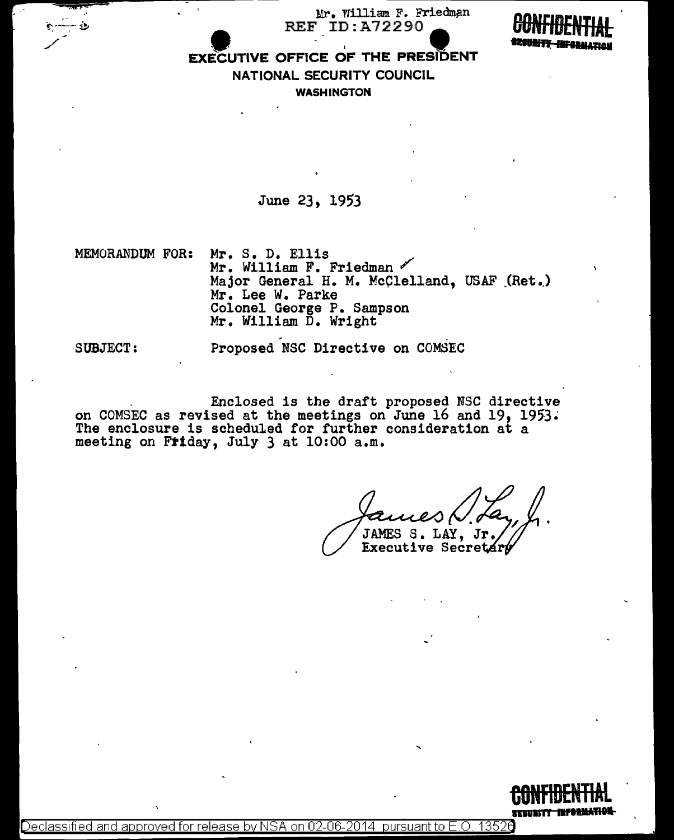Mr. William F. Friedman **REF ID:A72290** 



# **EXECUTIVE OFFICE OF THE PRESIDENT** NATIONAL SECURITY COUNCIL **WASHINGTON**

June 23, 1953

MEMORANDUM FOR: Mr. S. D. Ellis Mr. William F. Friedman Major General H. M. McClelland, USAF (Ret.) Mr. Lee W. Parke Colonel George P. Sampson Mr. William D. Wright

**SUBJECT:** 

Proposed NSC Directive on COMSEC

Enclosed is the draft proposed NSC directive on COMSEC as revised at the meetings on June 16 and 19, 1953. The enclosure is scheduled for further consideration at a meeting on Friday, July 3 at 10:00 a.m.

JAMES S. LAY, Jr. Executive Secretar

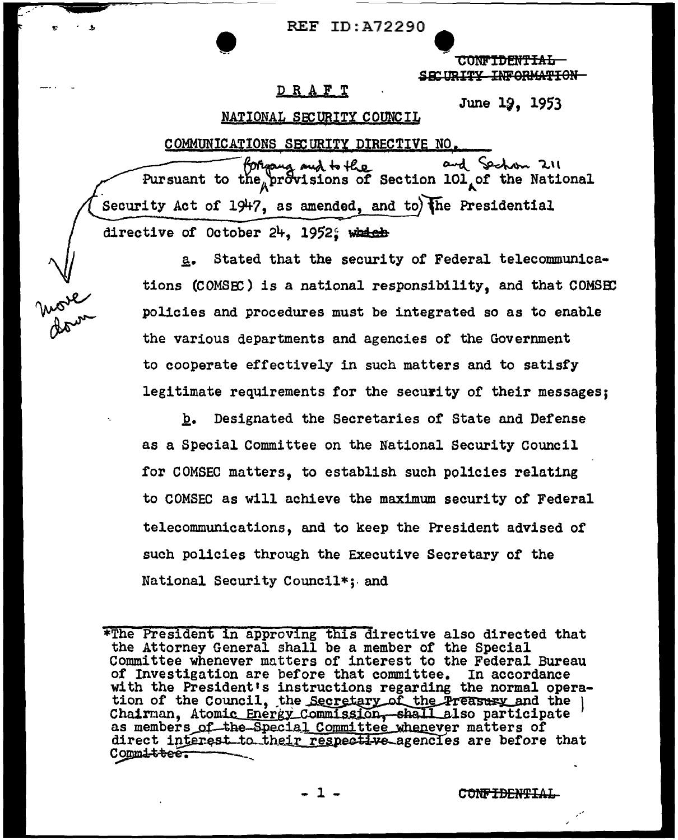**CONFIDENTIAL** SECURITY INFORMATION-

## DRAFT

June 19, 1953

### NATIONAL SECURITY COUNCIL

Arve

COMMUNICATIONS SECURITY DIRECTIVE NO. and Sechan 211 for and to the and the and Section 211<br>Pursuant to the provisions of Section 101 of the National Security Act of  $1947$ , as amended, and to) the Presidential directive of October 24, 1952; which

Stated that the security of Federal telecommunica $a_{\bullet}$ tions (COMSEC) is a national responsibility, and that COMSEC policies and procedures must be integrated so as to enable the various departments and agencies of the Government to cooperate effectively in such matters and to satisfy legitimate requirements for the security of their messages;

Designated the Secretaries of State and Defense  $b_{\bullet}$ as a Special Committee on the National Security Council for COMSEC matters, to establish such policies relating to COMSEC as will achieve the maximum security of Federal telecommunications, and to keep the President advised of such policies through the Executive Secretary of the National Security Council\*; and

<sup>\*</sup>The President in approving this directive also directed that the Attorney General shall be a member of the Special Committee whenever matters of interest to the Federal Bureau of Investigation are before that committee. In accordance with the President's instructions regarding the normal operation of the Council, the Secretary of the Preasury and the Chairman, Atomic Energy Commission, shall also participate as members of the Special Committee whenever matters of direct interest to their respective agencies are before that Committee.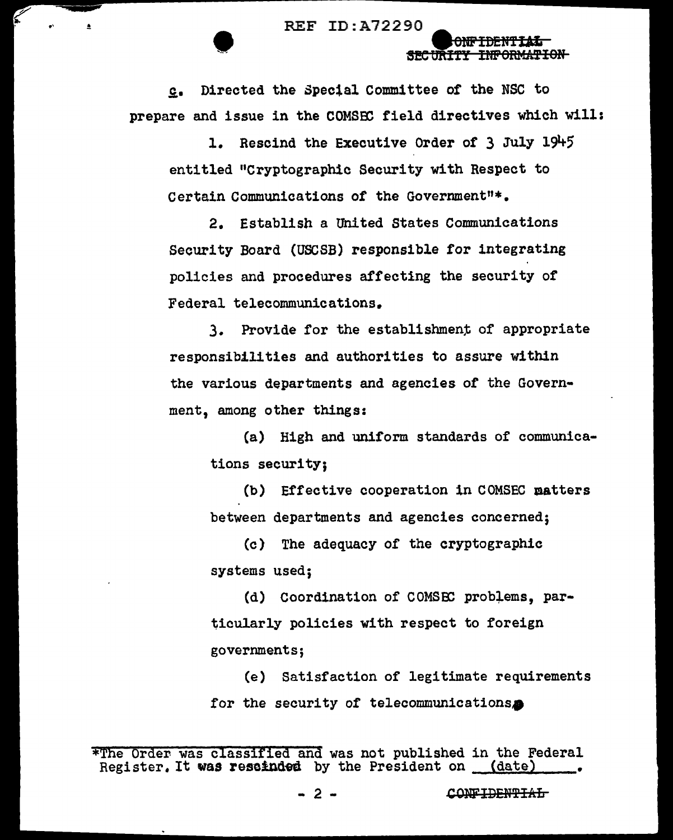REF ID:A72290<br>
SECURIT

£• Directed the Special Committee of the NSC to prepare and issue in the COMSEC field directives which will:

ONFIDENTIAL **SEC URITY INPORMATION** 

l. Rescind the Executive Order of 3 July 191+5 entitled "Cryptographic Security with Respect to Certain Communications of the Government"\*•

2. Establish a United States Communications Security Board (USCSB) responsible for integrating policies and procedures affecting the security or Federal telecommunications.

3. Provide for the establishment of appropriate responsibilities and authorities to assure within the various departments and agencies of the Government, among other things:

(a) High and uniform standards of communications security;

(b) Effective cooperation in COMSEC aatters between departments and agencies concerned;

(c) The adequacy of the cryptographic systems used;

(d) Coordination of COMSEC problems, particularly policies with respect to foreign governments;

(e) Satisfaction of legitimate requirements for the security of telecommunications $\bullet$ 

<sup>\*</sup>The Order was classified and was not published in the Federal Register. It was rescinded by the President on (date)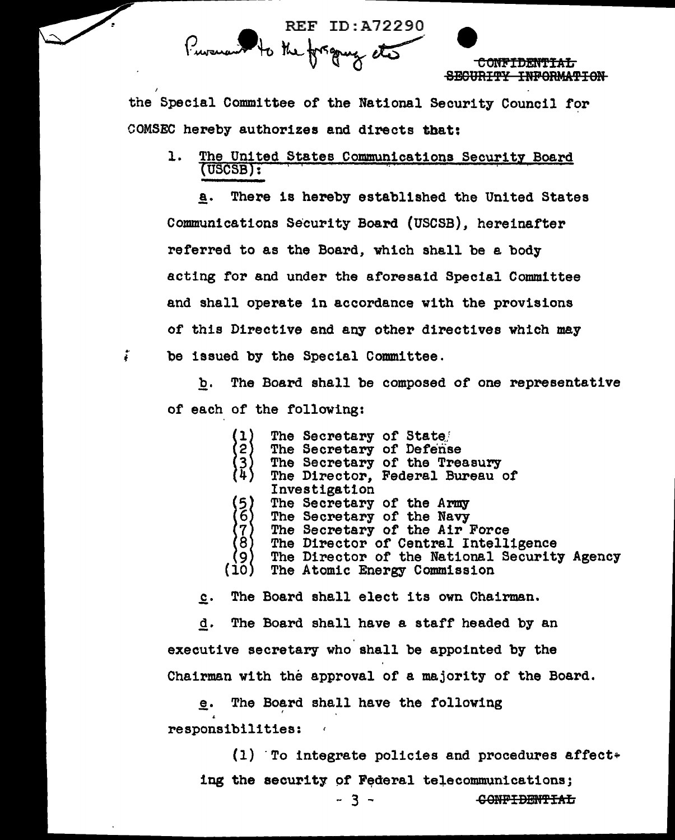

the Special Committee of the National Security Council for COMSEC hereby authorizes and directs that:

The United States Communications Security Board 1.  $(USCSB):$ 

There is hereby established the United States a. Communications Security Board (USCSB), hereinafter referred to as the Board, which shall be a body acting for and under the aforesaid Special Committee and shall operate in accordance with the provisions of this Directive and any other directives which may be issued by the Special Committee.

 $\ddot{i}$ 

The Board shall be composed of one representative b. of each of the following:

> The Secretary of State The Secretary of Defense (1) '2∫  $\left\{\begin{smallmatrix} 3 \ 4 \end{smallmatrix}\right\}$ The Secretary of the Treasury The Director, Federal Bureau of Investigation  $\begin{pmatrix} 5 \\ 6 \end{pmatrix}$ The Secretary of the Army The Secretary of the Navy {7}<br>(8) The Secretary of the Air Force The Director of Central Intelligence (9) The Director of the National Security Agency  $(i<sub>0</sub>)$ The Atomic Energy Commission

The Board shall elect its own Chairman.  $c_{\star}$ 

d. The Board shall have a staff headed by an executive secretary who shall be appointed by the Chairman with the approval of a majority of the Board.

The Board shall have the following е. responsibilities:

 $(1)$  To integrate policies and procedures affect+ ing the security of Federal telecommunications; <del>CONFIDENTIAL</del>

- 3 -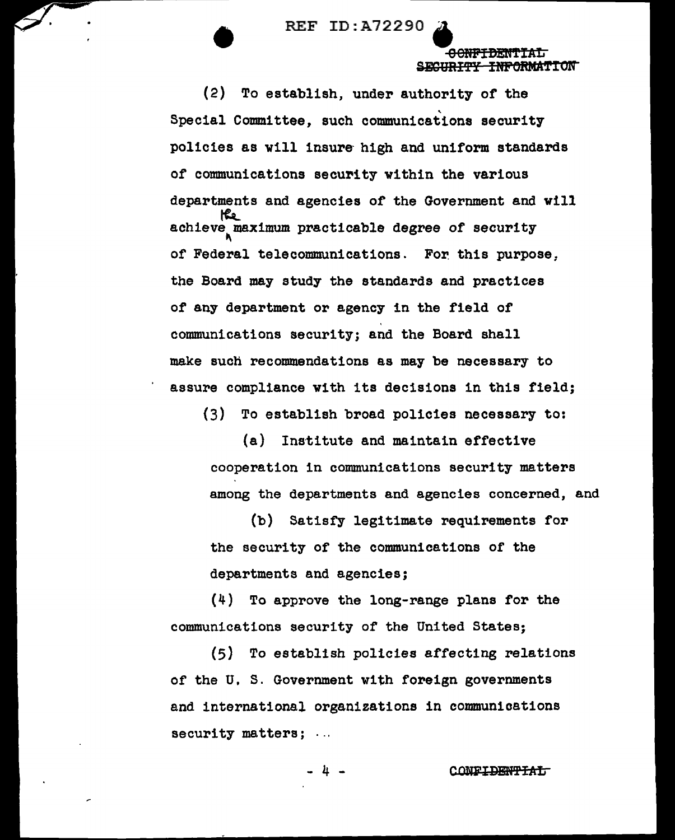•

00NF<del>IDENTIAL</del> SECURITY INFORMATION

(2) To establish, under authority of the Special Committee, such communications security policies as will insure high and uniform standards of communications security within the various departments and agencies of the Government and will<br>
the achieve maximum practicable degree of security of Federal telecommunications. For this purpose, the Board may study the standards and practices of any department or agency in the field of communications security; and the Board shall make such recommendations as may be necessary to assure compliance with its decisions in this field;

(3) To establish broad policies necessary to:

(a) Institute and maintain effective cooperation in communications security matters among the departments and agencies concerned, and

(b) Satisfy legitimate requirements for the security of the communications of the departments and agencies;

(4) To approve the long-range plans for the communications security of the United States;

(5) To establish policies affecting relations of the U.S. Government with foreign governments and international organizations in communications security matters; ...

 $4 -$  CONFIDENTIAI;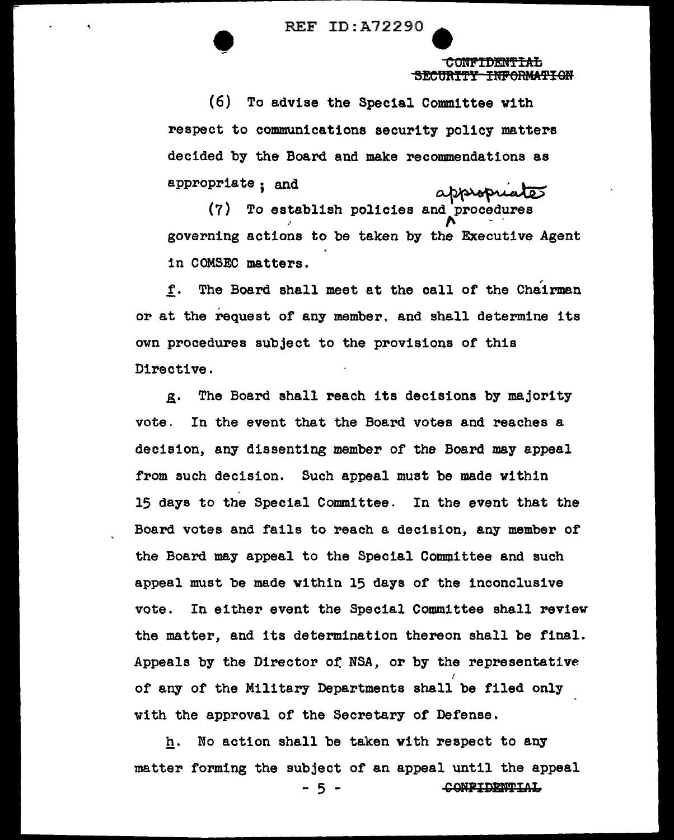**• REF ID: A72290** 

CONFIDENTIAL SECURITY INFORMATION

,.

(6) To advise the Special Committee with respect to communications security policy matters decided by the Board and make recommendations as ty policy matters<br>commendations as<br>appropriates<br>and procedures appropriate; and

·' (7) To establish policies governing actions to be taken by the Executive Agent in COMSEC matters.

f. The Board shall meet at the call or the Chairman or at the request of any member. and shall determine its own procedures subject to the provisions of this Directive.

g. The Board shall reach its decisions by majority vote. In the event that the Board votes and reaches a decision, any dissenting member of the Board may appeal from such decision. Such appeal must be made within 15 days to the Special Committee. In the event that the Board votes and fails to reach a decision, any member or the Board may appeal to the Special Committee and such appeal must be made within 15 days of the inconclusive vote. In either event the Special Committee shall review the matter, and its determination thereon shall be final. Appeals by the Director of, NSA, or by the representative I of any of the Military Departments shall be filed only with the approval of the Secretary of Defense.

h. No action shall be taken with respect to any matter forming the subject or an appeal until the appeal 5 - <del>CONFIDENTIAL</del>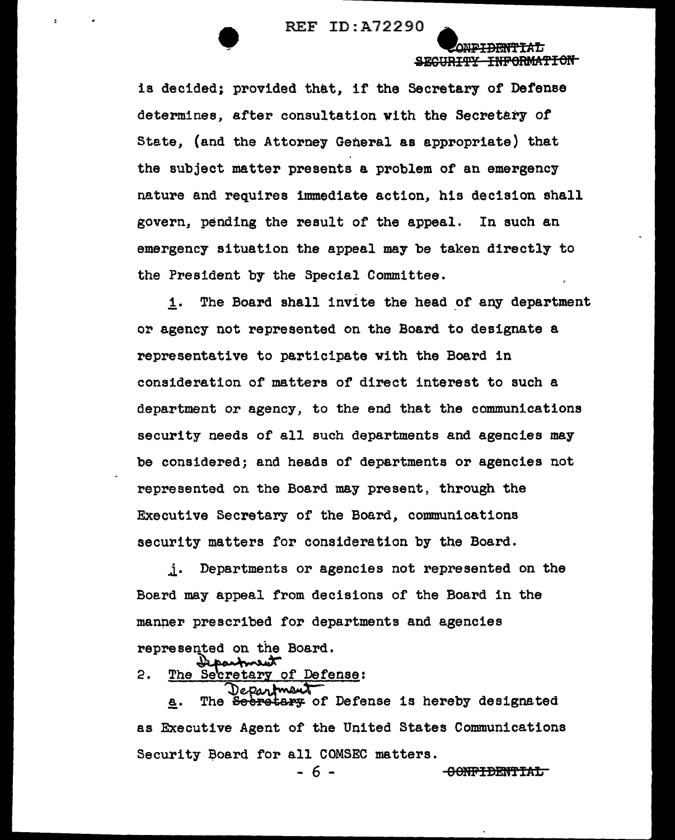SEGURITY INFORMATION

-<del>CONFIDENTIAL</del>

is decided; provided that, if the Secretary of Defense determines, after consultation with the Secretary of State, (and the Attorney General as appropriate) that the subject matter presents a problem of an emergency nature and requires immediate action, his decision shall govern, pending the result of the appeal. In such an emergency situation the appeal may be taken directly to the President by the Special Committee.

1. The Board shall invite the head of any department or agency not represented on the Board to designate a representative to participate with the Board in consideration of matters of direct interest to such a department or agency, to the end that the communications security needs of all such departments and agencies may be considered; and heads of departments or agencies not represented on the Board may present, through the Executive Secretary of the Board, communications security matters for consideration by the Board.

Departments or agencies not represented on the  $\mathbf{j}$ . Board may appeal from decisions of the Board in the manner prescribed for departments and agencies represented on the Board.

2. The Secretary of Defense:

Department The Seeretary of Defense is hereby designated **a.** as Executive Agent of the United States Communications Security Board for all COMSEC matters.

- 6 -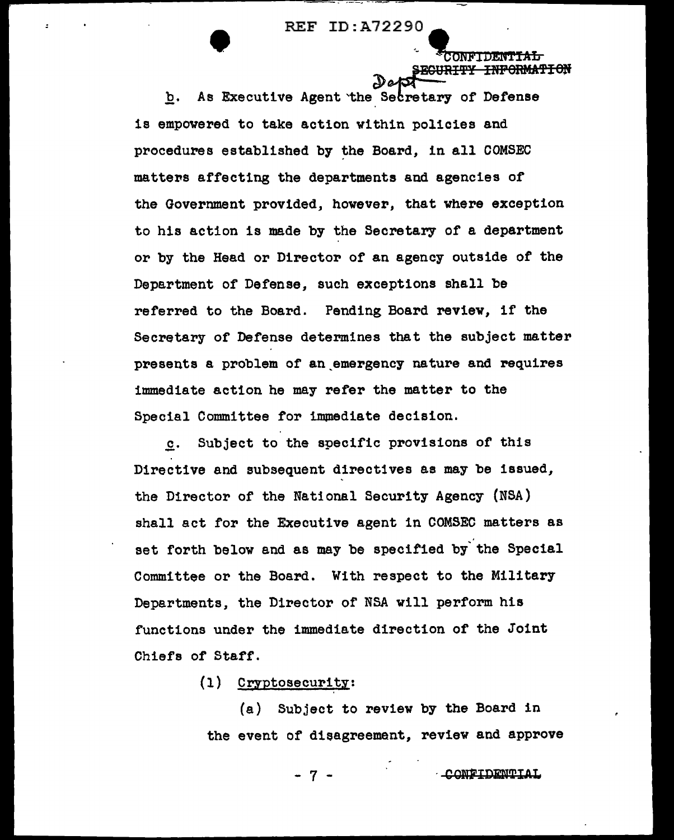ONF'IDE **PECURITY INFORMATION** 

b. As Executive Agent the Secretary of Defense is empovered to take action within policies and procedures established by the Board, in all COMSEC matters affecting the departments and agencies of the Government provided, however, that where exception to his action is made by the Secretary of a department or by the Head or Director or an agency outside of the Department of Defense, such exceptions shall be referred to the Board. Pending Board review, if the Secretary of Defense determines that the subject matter presents a problem of an emergency nature and requires immediate action he may refer the matter to the Special Committee for immediate decision.

c. Subject to the specific provisions of this - Directive and subsequent directives as may be issued, the Director of the National Security Agency (NSA) shall act for the Executive agent in COMSEC matters as set forth below and as may be specified by the Special Committee or the Board. With respect to the Military Departments, the Director of NSA will perform his functions under the immediate direction of the Joint Chiefs of Starr.

 $(1)$  Cryptosecurity:

(a) Subject to review by the Board in the event of disagreement, review and approve

CONFIDENTIAL

- 7 -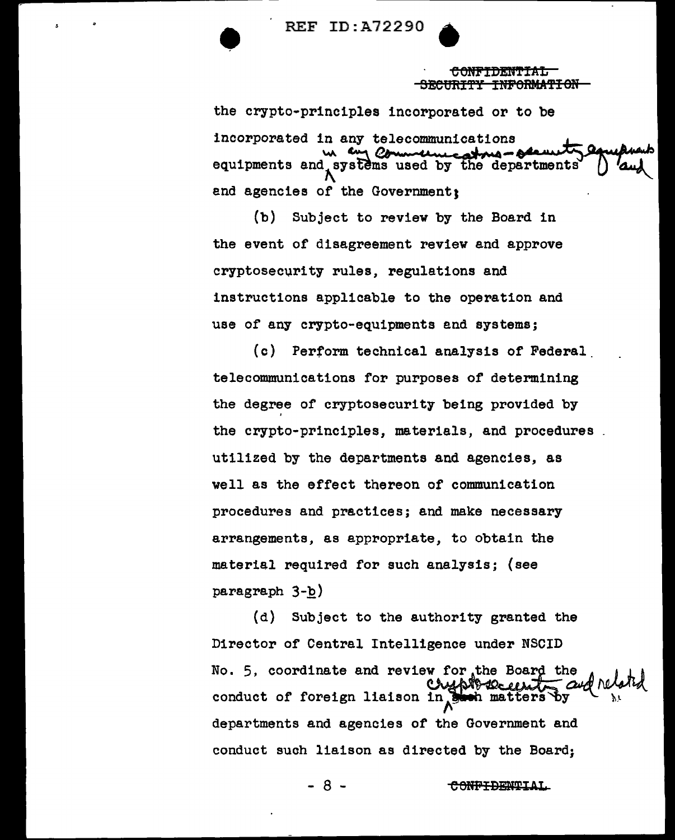REF ID:A72290

**CONFIDENTIAL** -BECURITY INFORMATION

the crypto-principles incorporated or to be incorporated in any telecommunications<br>w. Communications<br>equinments and systems used by the departments equipments and systems used by the department and agencies of the Government:

(b) Subject to review by the Board in the event of disagreement review and approve cryptosecurity rules, regulations and instructions applicable to the operation and use of any crypto-equipments and systems;

(c) Perform technical analysis of Federal. telecommunications for purposes of determining the degree of cryptosecurity being provided by the crypto-principles, materials, and procedures utilized by the departments and agencies, as well as the effect thereon of communication procedures and practices; and make necessary arrangements, as appropriate, to obtain the material required for such analysis; {see paragraph 3-b)

(d) Subject to the authority granted the Director of Central Intelligence under NSCID No. 5, coordinate and review for the Board the conduct of foreign liaison in  $\frac{1}{2}$ departments and agencies of the Government and conduct such liaison as directed by the Board;

- 8 -

<del>CONFIDENTIAL</del>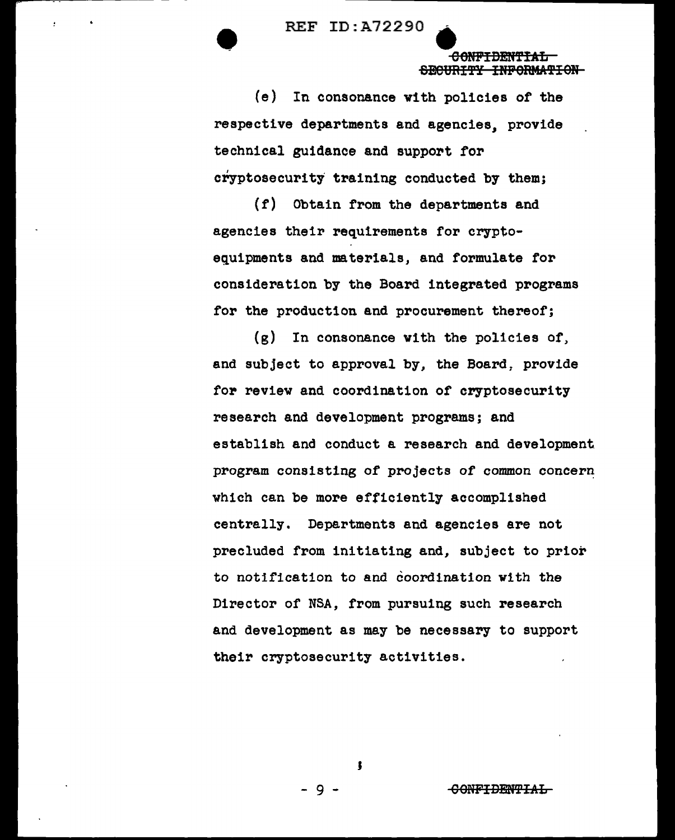#### CONFIDENTIAL SECURITY INFORMATION

 $(e)$ In consonance with policies of the respective departments and agencies, provide technical guidance and support for cryptosecurity training conducted by them;

 $(f)$ Obtain from the departments and agencies their requirements for cryptoequipments and materials, and formulate for consideration by the Board integrated programs for the production and procurement thereof;

 $\left( \mathbf{g} \right)$ In consonance with the policies of, and subject to approval by, the Board, provide for review and coordination of cryptosecurity research and development programs; and establish and conduct a research and development program consisting of projects of common concern which can be more efficiently accomplished centrally. Departments and agencies are not precluded from initiating and, subject to prior to notification to and coordination with the Director of NSA, from pursuing such research and development as may be necessary to support their cryptosecurity activities.

<del>CONFIDENTIAL</del>

9.

Ţ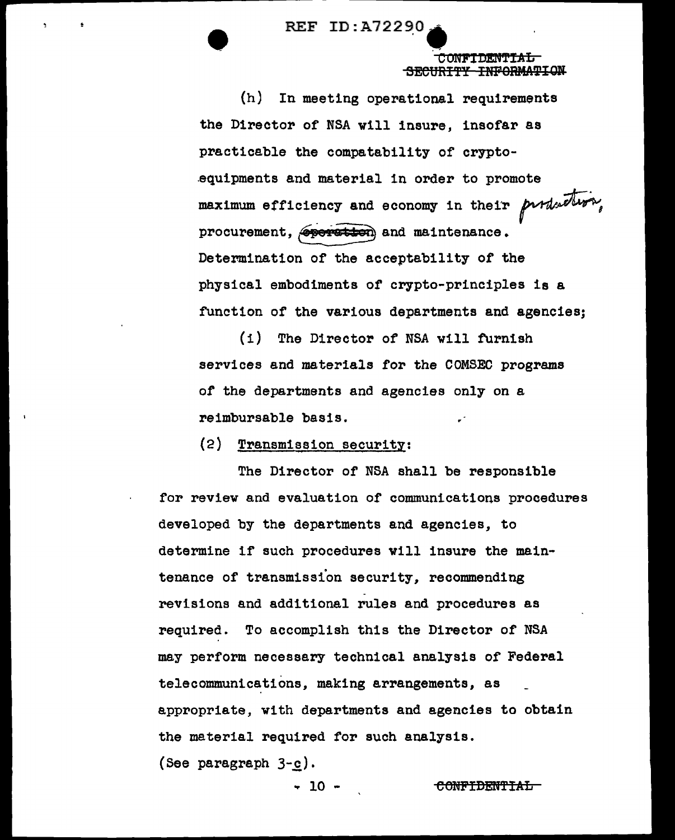SECURITY INFORMATION

 $(h)$ In meeting operational requirements the Director of NSA will insure, insofar as practicable the compatability of cryptoequipments and material in order to promote maximum efficiency and economy in their purduction, procurement, sperstion and maintenance. Determination of the acceptability of the physical embodiments of crypto-principles is a function of the various departments and agencies:

The Director of NSA will furnish  $(1)$ services and materials for the COMSEC programs of the departments and agencies only on a reimbursable basis.

(2) Transmission security:

The Director of NSA shall be responsible for review and evaluation of communications procedures developed by the departments and agencies, to determine if such procedures will insure the maintenance of transmission security, recommending revisions and additional rules and procedures as recuired. To accomplish this the Director of NSA may perform necessary technical analysis of Federal telecommunications, making arrangements, as appropriate, with departments and agencies to obtain the material required for such analysis. (See paragraph  $3-c$ ).

- 10 -

<del>CONFIDENTIAL</del>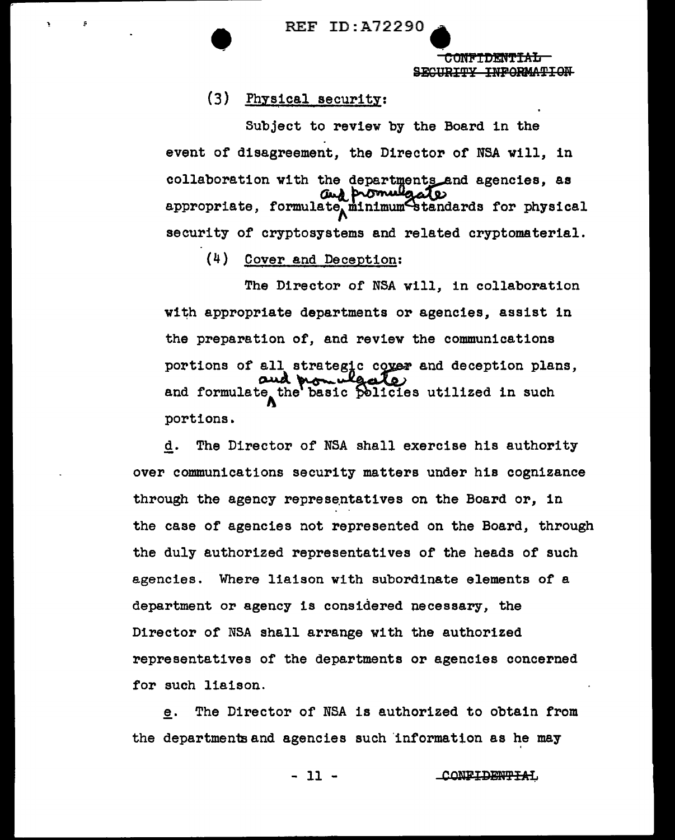REF ID:A72290<br>
etc

CONFIDENTI<del>AL</del> SECURITY INFORMATION

## (3) Physical security:

Subject to review by the Board in the event of disagreement, the Director of NSA will, in collaboration with the departments and agencies, as  $\omega_d$  promulgate appropriate, formulate minimum standards for physical security of cryptosystems and related cryptomaterial.

(4) Cover and Deception:

The Director of NSA will, in collaboration with appropriate departments or agencies, assist in the preparation of, and review the communications portions of all strategic cover and deception plans, and formulate the basic policies utilized in such portions.

g. The Director of NSA shall exercise his authority over communications security matters under his cognizance through the agency representatives on the Board or, in the case of agencies not represented on the Board, through the duly authorized representatives of the heads of such agencies. Where liaison with subordinate elements of a department or agency is considered necessary, the Director of NSA shall arrange with the authorized representatives of the departments or agencies concerned for such liaison.

e. The Director of NSA is authorized to obtain from the departmentsand agencies such 'information as he may

- 11 - CONFIDENTIAL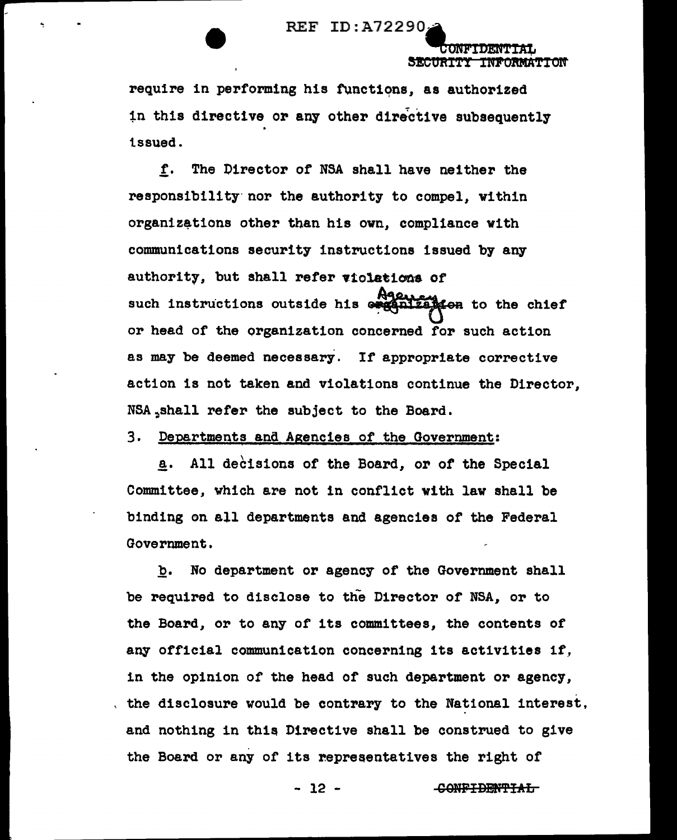

SECURITY INFORMATION

require in performing his functions, as authorized in this directive or any other directive subsequently issued.

f. The Director of NSA shall have neither the responsibility nor the authority to compel, within organizations other than his own, compliance with communications security instructions issued by any authority, but shall refer violations of such instructions outside his example for the chief or head of the organization concerned for such action as may be deemed necessary. If appropriate corrective action is not taken and violations continue the Director. NSA shall refer the subject to the Board.

3. Departments and Agencies of the Government:

a. All decisions of the Board, or of the Special Committee, which are not in conflict with law shall be binding on all departments and agencies of the Federal Government.

No department or agency of the Government shall b. be required to disclose to the Director of NSA, or to the Board, or to any of its committees, the contents of any official communication concerning its activities if, in the opinion of the head of such department or agency, . the disclosure would be contrary to the National interest, and nothing in this Directive shall be construed to give the Board or any of its representatives the right of

 $-12 -$ 

CONFIDENTIAL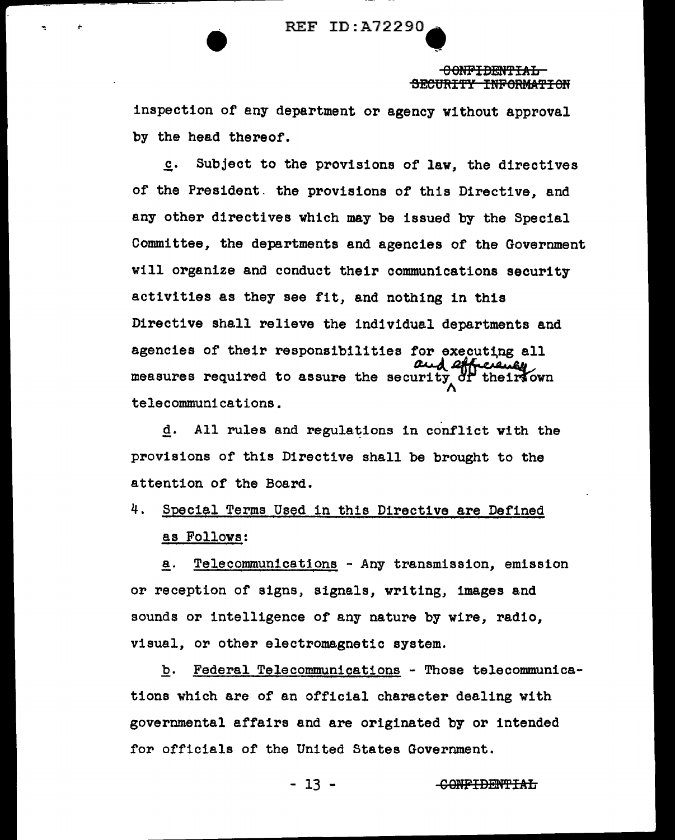#### 0 Offii'IDmf'f'IAL SECURITY INFORMATION

inspection of any department or agency without approval by the head thereof.

£· Subject to the provisions of law, the directives of the President. the provisions of this Directive, and any other directives which may be issued by the Special Committee, the departments and agencies of the Government will organize and conduct their communications security activities as they see fit, and nothing in this Directive shall relieve the individual departments and agencies of their responsibilities for executing all measures required to assure the security of their own telecommunications.

d. All rules and regulations in conflict with the provisions of this Directive shall be brought to the attention of the Board.

4. Special Terms Used in this Directive are Defined as Follows:

a. Telecommunications - Any transmission, emission or reception of signs, signals, writing, images and sounds or intelligence of any nature by wire, radio, visual, or other electromagnetic system.

b. Federal Telecommunications - Those telecommunications which are of an official character dealing with governmental affairs and are originated by or intended for officials of the United States Government.

- 13 - CONFIDENTIAL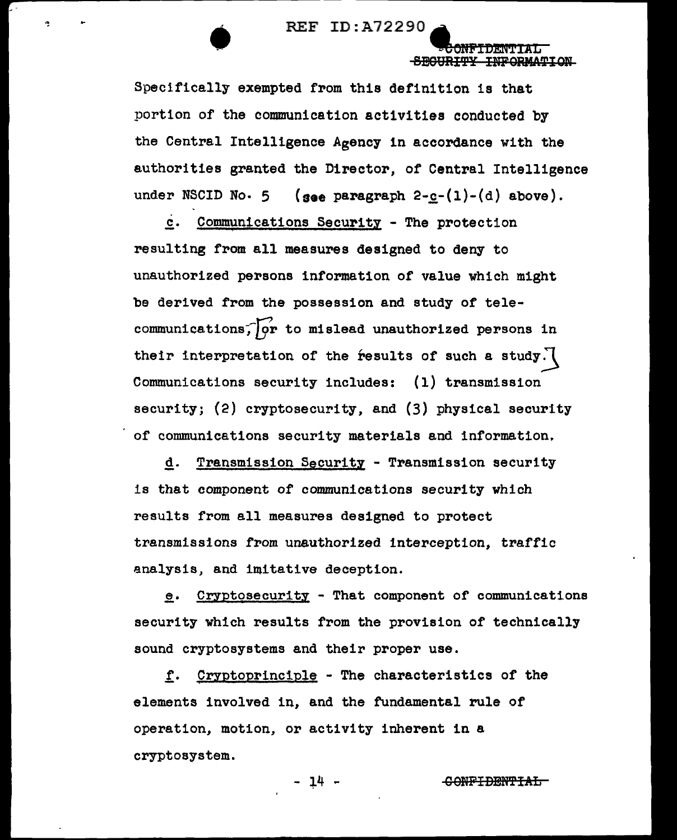**• REF ID: A72290 APROVERENT** 

~..,..O""NJi'VI"'"f)~l!:!"q1N1Tlt"tl"1IA"T'L'."""" SEGURITY INFORMATION

Specifically exempted from this definition is that portion of the communication activities conducted by the Central Intelligence Agency in accordance with the authorities granted the Director, of Central Intelligence under NSCID No. 5 (see paragraph  $2-c-(1)-(d)$  above).

c. Communications Security - The protection resulting from all measures designed to deny to unauthorized persons information of value which might be derived from the possession and study of telecommunications;  $\overline{\varphi}$ r to mislead unauthorized persons in their interpretation of the results of such a study. Communications security includes: {1) transmission security; (2) cryptosecurity, and (3) physical security of communications security materials and information,

g. Transmission Security - Transmission security is that component of communications security which results from all measures designed to protect transmissions from unauthorized interception, traffic analysis, and imitative deception.

~· Cryptosecurity - That component or communications security which results from the provision of technically sound cryptosystems and their proper use.

f. Cryptoprinciple - The characteristics of the elements involved in, and the fundamental rule of operation, motion, or activity inherent in a cryptosystem.

- 14 - <del>CONFIDENTIAL</del>